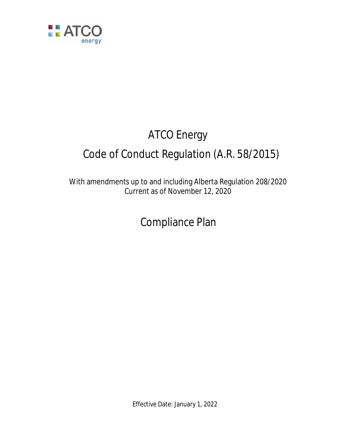

# ATCO Energy Code of Conduct Regulation (A.R. 58/2015)

With amendments up to and including Alberta Regulation 208/2020 Current as of November 12, 2020

Compliance Plan

Effective Date: January 1, 2022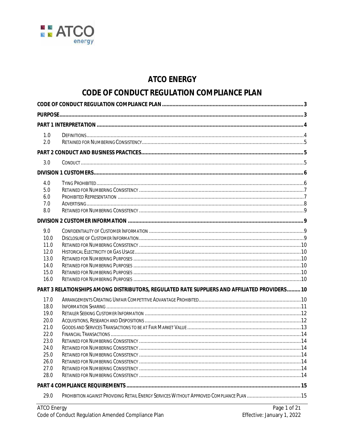

# **ATCO ENERGY**

# CODE OF CONDUCT REGULATION COMPLIANCE PLAN

| 1.0          |                                                                                               |  |  |  |  |
|--------------|-----------------------------------------------------------------------------------------------|--|--|--|--|
| 2.0          |                                                                                               |  |  |  |  |
|              |                                                                                               |  |  |  |  |
| 3.0          |                                                                                               |  |  |  |  |
|              |                                                                                               |  |  |  |  |
| 4.0          |                                                                                               |  |  |  |  |
| 5.0          |                                                                                               |  |  |  |  |
| 6.0          |                                                                                               |  |  |  |  |
| 7.0          |                                                                                               |  |  |  |  |
| 8.0          |                                                                                               |  |  |  |  |
|              |                                                                                               |  |  |  |  |
| 9.0          |                                                                                               |  |  |  |  |
| 10.0         |                                                                                               |  |  |  |  |
| 11.0         |                                                                                               |  |  |  |  |
| 12.0         |                                                                                               |  |  |  |  |
| 13.0         |                                                                                               |  |  |  |  |
| 14.0         |                                                                                               |  |  |  |  |
| 15.0         |                                                                                               |  |  |  |  |
| 16.0         |                                                                                               |  |  |  |  |
|              | PART 3 RELATIONSHIPS AMONG DISTRIBUTORS, REGULATED RATE SUPPLIERS AND AFFILIATED PROVIDERS 10 |  |  |  |  |
| 17.0         |                                                                                               |  |  |  |  |
| 18.0         |                                                                                               |  |  |  |  |
| 19.0         |                                                                                               |  |  |  |  |
| 20.0         |                                                                                               |  |  |  |  |
| 21.0         |                                                                                               |  |  |  |  |
| 22.0         |                                                                                               |  |  |  |  |
| 23.0         |                                                                                               |  |  |  |  |
| 24.0<br>25.0 |                                                                                               |  |  |  |  |
| 26.0         |                                                                                               |  |  |  |  |
| 27.0         |                                                                                               |  |  |  |  |
| 28.0         |                                                                                               |  |  |  |  |
|              |                                                                                               |  |  |  |  |
|              |                                                                                               |  |  |  |  |
| 29.0         | PROHIBITION AGAINST PROVIDING RETAIL ENERGY SERVICES WITHOUT APPROVED COMPLIANCE PLAN 15      |  |  |  |  |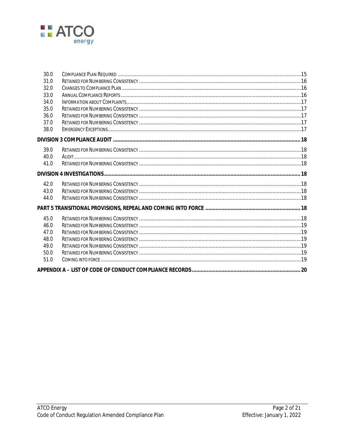

| 30.0 |  |
|------|--|
| 31.0 |  |
| 32.0 |  |
| 33.0 |  |
| 34.0 |  |
| 35.0 |  |
| 36.0 |  |
| 37.0 |  |
| 38.0 |  |
|      |  |
| 39.0 |  |
| 40.0 |  |
| 41.0 |  |
|      |  |
| 42.0 |  |
| 43.0 |  |
| 44.0 |  |
|      |  |
| 45.0 |  |
| 46.0 |  |
| 47.0 |  |
| 48.0 |  |
| 49.0 |  |
| 50.0 |  |
| 51.0 |  |
|      |  |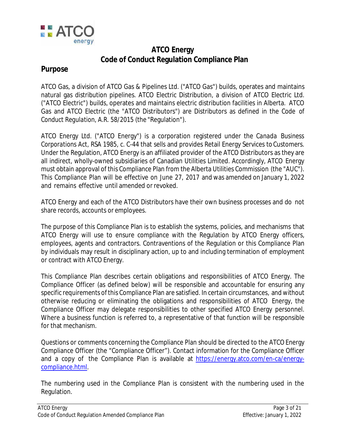

# **ATCO Energy Code of Conduct Regulation Compliance Plan**

# **Purpose**

ATCO Gas, a division of ATCO Gas & Pipelines Ltd. ("ATCO Gas") builds, operates and maintains natural gas distribution pipelines. ATCO Electric Distribution, a division of ATCO Electric Ltd. ("ATCO Electric") builds, operates and maintains electric distribution facilities in Alberta. ATCO Gas and ATCO Electric (the "ATCO Distributors") are Distributors as defined in the *Code of Conduct Regulation*, A.R. 58/2015 (the "Regulation").

ATCO Energy Ltd. ("ATCO Energy") is a corporation registered under the *Canada Business Corporations Act,* RSA 1985, c. C-44 that sells and provides Retail Energy Services to Customers. Under the Regulation, ATCO Energy is an affiliated provider of the ATCO Distributors as they are all indirect, wholly-owned subsidiaries of Canadian Utilities Limited. Accordingly, ATCO Energy must obtain approval of this Compliance Plan from the Alberta Utilities Commission (the "AUC"). This Compliance Plan will be effective on June 27, 2017 and was amended on January 1, 2022 and remains effective until amended or revoked.

ATCO Energy and each of the ATCO Distributors have their own business processes and do not share records, accounts or employees.

The purpose of this Compliance Plan is to establish the systems, policies, and mechanisms that ATCO Energy will use to ensure compliance with the Regulation by ATCO Energy officers, employees, agents and contractors. Contraventions of the Regulation or this Compliance Plan by individuals may result in disciplinary action, up to and including termination of employment or contract with ATCO Energy.

This Compliance Plan describes certain obligations and responsibilities of ATCO Energy. The Compliance Officer (as defined below) will be responsible and accountable for ensuring any specific requirements of this Compliance Plan are satisfied. In certain circumstances, and without otherwise reducing or eliminating the obligations and responsibilities of ATCO Energy, the Compliance Officer may delegate responsibilities to other specified ATCO Energy personnel. Where a business function is referred to, a representative of that function will be responsible for that mechanism.

Questions or comments concerning the Compliance Plan should be directed to the ATCO Energy Compliance Officer (the "Compliance Officer"). Contact information for the Compliance Officer and a copy of the Compliance Plan is available at https://energy.atco.com/en-ca/energycompliance.html.

The numbering used in the Compliance Plan is consistent with the numbering used in the Regulation.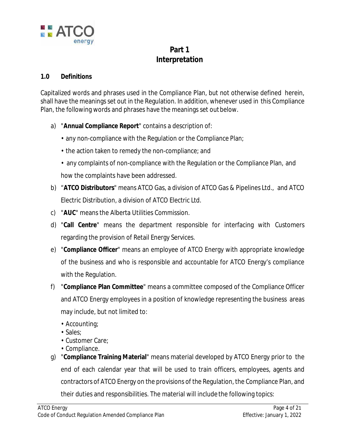

# **Part 1 Interpretation**

## **1.0 Definitions**

Capitalized words and phrases used in the Compliance Plan, but not otherwise defined herein, shall have the meanings set out in the Regulation. In addition, whenever used in this Compliance Plan, the following words and phrases have the meanings set out below.

- a) "**Annual Compliance Report**" contains a description of:
	- any non-compliance with the Regulation or the Compliance Plan;
	- the action taken to remedy the non-compliance; and
	- any complaints of non-compliance with the Regulation or the Compliance Plan, and how the complaints have been addressed.
- b) "**ATCO Distributors**" means ATCO Gas, a division of ATCO Gas & Pipelines Ltd., and ATCO Electric Distribution, a division of ATCO Electric Ltd.
- c) "**AUC**" means the Alberta Utilities Commission.
- d) "**Call Centre**" means the department responsible for interfacing with Customers regarding the provision of Retail Energy Services.
- e) "**Compliance Officer**" means an employee of ATCO Energy with appropriate knowledge of the business and who is responsible and accountable for ATCO Energy's compliance with the Regulation.
- f) "**Compliance Plan Committee**" means a committee composed of the Compliance Officer and ATCO Energy employees in a position of knowledge representing the business areas may include, but not limited to:
	- Accounting;
	- Sales;
	- Customer Care;
	- Compliance.
- g) "**Compliance Training Material**" means material developed by ATCO Energy prior to the end of each calendar year that will be used to train officers, employees, agents and contractors of ATCO Energy on the provisions of the Regulation, the Compliance Plan, and their duties and responsibilities. The material will include the following topics: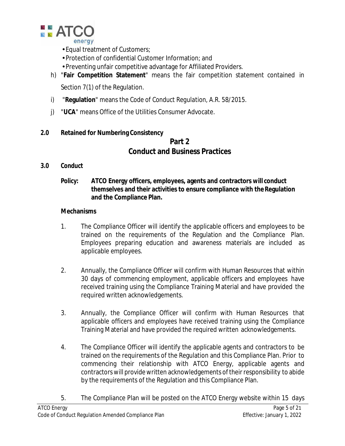

- Equal treatment of Customers;
- Protection of confidential Customer Information; and
- Preventing unfair competitive advantage for Affiliated Providers.
- h) "**Fair Competition Statement**" means the fair competition statement contained in Section 7(1) of the Regulation.
- i) "**Regulation**" means the *Code of Conduct Regulation*, A.R. 58/2015.
- j) "**UCA**" means Office of the Utilities Consumer Advocate.

# **2.0 Retained for Numbering Consistency**

# **Part 2 Conduct and Business Practices**

# **3.0 Conduct**

**Policy: ATCO Energy officers, employees, agents and contractors will conduct themselves and their activities to ensure compliance with theRegulation and the Compliance Plan.**

- 1. The Compliance Officer will identify the applicable officers and employees to be trained on the requirements of the Regulation and the Compliance Plan. Employees preparing education and awareness materials are included as applicable employees.
- 2. Annually, the Compliance Officer will confirm with Human Resources that within 30 days of commencing employment, applicable officers and employees have received training using the Compliance Training Material and have provided the required written acknowledgements.
- 3. Annually, the Compliance Officer will confirm with Human Resources that applicable officers and employees have received training using the Compliance Training Material and have provided the required written acknowledgements.
- 4. The Compliance Officer will identify the applicable agents and contractors to be trained on the requirements of the Regulation and this Compliance Plan. Prior to commencing their relationship with ATCO Energy, applicable agents and contractors will provide written acknowledgements of their responsibility to abide by the requirements of the Regulation and this Compliance Plan.
- 5. The Compliance Plan will be posted on the ATCO Energy website within 15 days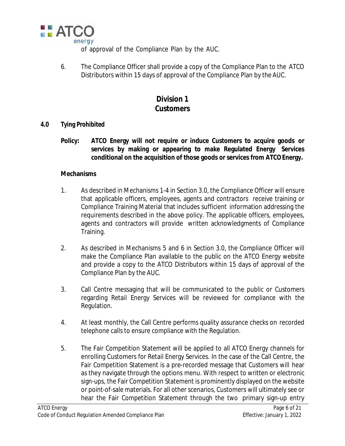

of approval of the Compliance Plan by the AUC.

6. The Compliance Officer shall provide a copy of the Compliance Plan to the ATCO Distributors within 15 days of approval of the Compliance Plan by the AUC.

# **Division 1 Customers**

## **4.0 Tying Prohibited**

**Policy: ATCO Energy will not require or induce Customers to acquire goods or services by making or appearing to make Regulated Energy Services conditional on the acquisition of those goods or services from ATCOEnergy.**

- 1. As described in Mechanisms 1-4 in Section 3.0, the Compliance Officer will ensure that applicable officers, employees, agents and contractors receive training or Compliance Training Material that includes sufficient information addressing the requirements described in the above policy. The applicable officers, employees, agents and contractors will provide written acknowledgments of Compliance Training.
- 2. As described in Mechanisms 5 and 6 in Section 3.0, the Compliance Officer will make the Compliance Plan available to the public on the ATCO Energy website and provide a copy to the ATCO Distributors within 15 days of approval of the Compliance Plan by the AUC.
- 3. Call Centre messaging that will be communicated to the public or Customers regarding Retail Energy Services will be reviewed for compliance with the Regulation.
- 4. At least monthly, the Call Centre performs quality assurance checks on recorded telephone calls to ensure compliance with the Regulation.
- 5. The Fair Competition Statement will be applied to all ATCO Energy channels for enrolling Customers for Retail Energy Services. In the case of the Call Centre, the Fair Competition Statement is a pre-recorded message that Customers will hear as they navigate through the options menu. With respect to written or electronic sign-ups, the Fair Competition Statement is prominently displayed on the website or point-of-sale materials. For all other scenarios, Customers will ultimately see or hear the Fair Competition Statement through the two primary sign-up entry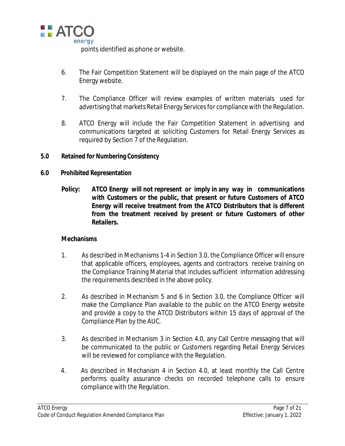

points identified as phone or website.

- 6. The Fair Competition Statement will be displayed on the main page of the ATCO Energy website.
- 7. The Compliance Officer will review examples of written materials used for advertising that markets Retail Energy Services for compliance with the Regulation.
- 8. ATCO Energy will include the Fair Competition Statement in advertising and communications targeted at soliciting Customers for Retail Energy Services as required by Section 7 of the Regulation.
- **5.0 Retained for Numbering Consistency**
- **6.0 Prohibited Representation**
	- **Policy: ATCO Energy will not represent or imply in any way in communications with Customers or the public, that present or future Customers of ATCO Energy will receive treatment from the ATCO Distributors that is different from the treatment received by present or future Customers of other Retailers.**

- 1. As described in Mechanisms 1-4 in Section 3.0, the Compliance Officer will ensure that applicable officers, employees, agents and contractors receive training on the Compliance Training Material that includes sufficient information addressing the requirements described in the above policy.
- 2. As described in Mechanism 5 and 6 in Section 3.0, the Compliance Officer will make the Compliance Plan available to the public on the ATCO Energy website and provide a copy to the ATCO Distributors within 15 days of approval of the Compliance Plan by the AUC.
- 3. As described in Mechanism 3 in Section 4.0, any Call Centre messaging that will be communicated to the public or Customers regarding Retail Energy Services will be reviewed for compliance with the Regulation.
- 4. As described in Mechanism 4 in Section 4.0, at least monthly the Call Centre performs quality assurance checks on recorded telephone calls to ensure compliance with the Regulation.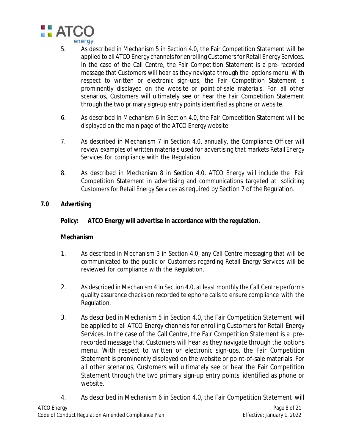

- 5. As described in Mechanism 5 in Section 4.0, the Fair Competition Statement will be applied to all ATCO Energy channels for enrolling Customers for Retail Energy Services. In the case of the Call Centre, the Fair Competition Statement is a pre- recorded message that Customers will hear as they navigate through the options menu. With respect to written or electronic sign-ups, the Fair Competition Statement is prominently displayed on the website or point-of-sale materials. For all other scenarios, Customers will ultimately see or hear the Fair Competition Statement through the two primary sign-up entry points identified as phone or website.
- 6. As described in Mechanism 6 in Section 4.0, the Fair Competition Statement will be displayed on the main page of the ATCO Energy website.
- 7. As described in Mechanism 7 in Section 4.0, annually, the Compliance Officer will review examples of written materials used for advertising that markets Retail Energy Services for compliance with the Regulation.
- 8. As described in Mechanism 8 in Section 4.0, ATCO Energy will include the Fair Competition Statement in advertising and communications targeted at soliciting Customers for Retail Energy Services as required by Section 7 of the Regulation.

## **7.0 Advertising**

# **Policy: ATCO Energy will advertise in accordance with the regulation.**

- 1. As described in Mechanism 3 in Section 4.0, any Call Centre messaging that will be communicated to the public or Customers regarding Retail Energy Services will be reviewed for compliance with the Regulation.
- 2. As described in Mechanism 4 in Section 4.0, at least monthly the Call Centre performs quality assurance checks on recorded telephone calls to ensure compliance with the Regulation.
- 3. As described in Mechanism 5 in Section 4.0, the Fair Competition Statement will be applied to all ATCO Energy channels for enrolling Customers for Retail Energy Services. In the case of the Call Centre, the Fair Competition Statement is a prerecorded message that Customers will hear as they navigate through the options menu. With respect to written or electronic sign-ups, the Fair Competition Statement is prominently displayed on the website or point-of-sale materials. For all other scenarios, Customers will ultimately see or hear the Fair Competition Statement through the two primary sign-up entry points identified as phone or website.
- 4. As described in Mechanism 6 in Section 4.0, the Fair Competition Statement will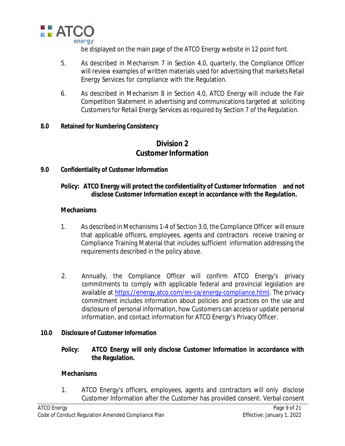

be displayed on the main page of the ATCO Energy website in 12 point font.

- 5. As described in Mechanism 7 in Section 4.0, quarterly, the Compliance Officer will review examples of written materials used for advertising that markets Retail Energy Services for compliance with the Regulation.
- 6. As described in Mechanism 8 in Section 4.0, ATCO Energy will include the Fair Competition Statement in advertising and communications targeted at soliciting Customers for Retail Energy Services as required by Section 7 of the Regulation.

### **8.0 Retained for Numbering Consistency**

# **Division 2 Customer Information**

## **9.0 Confidentiality of Customer Information**

## **Policy: ATCO Energy will protect the confidentiality of Customer Information and not disclose Customer Information except in accordance with the Regulation***.*

### **Mechanisms**

- 1. As described in Mechanisms 1-4 of Section 3.0, the Compliance Officer will ensure that applicable officers, employees, agents and contractors receive training or Compliance Training Material that includes sufficient information addressing the requirements described in the policy above.
- 2. Annually, the Compliance Officer will confirm ATCO Energy's privacy commitments to comply with applicable federal and provincial legislation are available at https://energy.atco.com/en-ca/energy-compliance.html. The privacy commitment includes information about policies and practices on the use and disclosure of personal information, how Customers can access or update personal information, and contact information for ATCO Energy's Privacy Officer.

### **10.0 Disclosure of Customer Information**

**Policy: ATCO Energy will only disclose Customer Information in accordance with the Regulation.**

### **Mechanisms**

1. ATCO Energy's officers, employees, agents and contractors will only disclose Customer Information after the Customer has provided consent. Verbal consent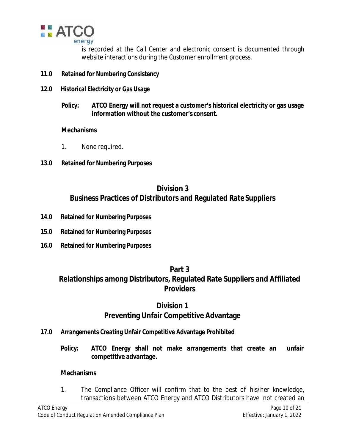

is recorded at the Call Center and electronic consent is documented through website interactions during the Customer enrollment process.

- **11.0 Retained for Numbering Consistency**
- **12.0 Historical Electricity or Gas Usage**
	- **Policy: ATCO Energy will not request a customer's historical electricity or gas usage information without the customer's consent.**

### **Mechanisms**

- 1. None required.
- **13.0 Retained for Numbering Purposes**

# **Division 3 Business Practices of Distributors and Regulated RateSuppliers**

- **14.0 Retained for Numbering Purposes**
- **15.0 Retained for Numbering Purposes**
- **16.0 Retained for Numbering Purposes**

## **Part 3**

# **Relationships among Distributors, Regulated Rate Suppliers and Affiliated Providers**

# **Division 1 Preventing Unfair Competitive Advantage**

- **17.0 Arrangements Creating Unfair Competitive Advantage Prohibited**
	- **Policy: ATCO Energy shall not make arrangements that create an unfair competitive advantage.**

### **Mechanisms**

1. The Compliance Officer will confirm that to the best of his/her knowledge, transactions between ATCO Energy and ATCO Distributors have not created an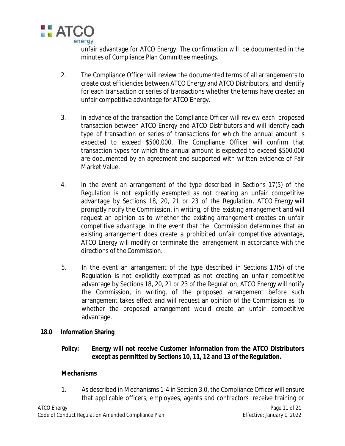

unfair advantage for ATCO Energy. The confirmation will be documented in the minutes of Compliance Plan Committee meetings.

- 2. The Compliance Officer will review the documented terms of all arrangements to create cost efficiencies between ATCO Energy and ATCO Distributors, and identify for each transaction or series of transactions whether the terms have created an unfair competitive advantage for ATCO Energy.
- 3. In advance of the transaction the Compliance Officer will review each proposed transaction between ATCO Energy and ATCO Distributors and will identify each type of transaction or series of transactions for which the annual amount is expected to exceed \$500,000. The Compliance Officer will confirm that transaction types for which the annual amount is expected to exceed \$500,000 are documented by an agreement and supported with written evidence of Fair Market Value.
- 4. In the event an arrangement of the type described in Sections 17(5) of the Regulation is not explicitly exempted as not creating an unfair competitive advantage by Sections 18, 20, 21 or 23 of the Regulation, ATCO Energy will promptly notify the Commission, in writing, of the existing arrangement and will request an opinion as to whether the existing arrangement creates an unfair competitive advantage. In the event that the Commission determines that an existing arrangement does create a prohibited unfair competitive advantage, ATCO Energy will modify or terminate the arrangement in accordance with the directions of the Commission.
- 5. In the event an arrangement of the type described in Sections 17(5) of the Regulation is not explicitly exempted as not creating an unfair competitive advantage by Sections 18, 20, 21 or 23 of the Regulation, ATCO Energy will notify the Commission, in writing, of the proposed arrangement before such arrangement takes effect and will request an opinion of the Commission as to whether the proposed arrangement would create an unfair competitive advantage.

## **18.0 Information Sharing**

**Policy: Energy will not receive Customer Information from the ATCO Distributors except as permitted by Sections 10, 11, 12 and 13 of theRegulation.**

### **Mechanisms**

1. As described in Mechanisms 1-4 in Section 3.0, the Compliance Officer will ensure that applicable officers, employees, agents and contractors receive training or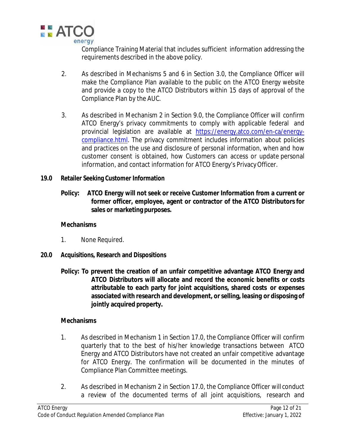

Compliance Training Material that includes sufficient information addressing the requirements described in the above policy.

- 2. As described in Mechanisms 5 and 6 in Section 3.0, the Compliance Officer will make the Compliance Plan available to the public on the ATCO Energy website and provide a copy to the ATCO Distributors within 15 days of approval of the Compliance Plan by the AUC.
- 3. As described in Mechanism 2 in Section 9.0, the Compliance Officer will confirm ATCO Energy's privacy commitments to comply with applicable federal and provincial legislation are available at https://energy.atco.com/en-ca/energycompliance.html. The privacy commitment includes information about policies and practices on the use and disclosure of personal information, when and how customer consent is obtained, how Customers can access or update personal information, and contact information for ATCO Energy's PrivacyOfficer.
- **19.0 Retailer Seeking Customer Information**
	- **Policy: ATCO Energy will not seek or receive Customer Information from a current or former officer, employee, agent or contractor of the ATCO Distributors for sales or marketing purposes.**

### **Mechanisms**

- 1. None Required.
- **20.0 Acquisitions, Research and Dispositions**
	- **Policy: To prevent the creation of an unfair competitive advantage ATCO Energy and ATCO Distributors will allocate and record the economic benefits or costs attributable to each party for joint acquisitions, shared costs or expenses associated with research and development, or selling, leasing or disposing of jointly acquired property.**

- 1. As described in Mechanism 1 in Section 17.0, the Compliance Officer will confirm quarterly that to the best of his/her knowledge transactions between ATCO Energy and ATCO Distributors have not created an unfair competitive advantage for ATCO Energy. The confirmation will be documented in the minutes of Compliance Plan Committee meetings.
- 2. As described in Mechanism 2 in Section 17.0, the Compliance Officer will conduct a review of the documented terms of all joint acquisitions, research and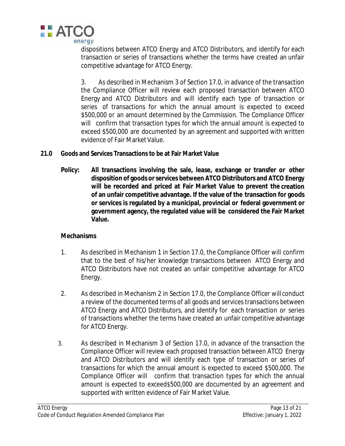

dispositions between ATCO Energy and ATCO Distributors, and identify for each transaction or series of transactions whether the terms have created an unfair competitive advantage for ATCO Energy.

3. As described in Mechanism 3 of Section 17.0, in advance of the transaction the Compliance Officer will review each proposed transaction between ATCO Energy and ATCO Distributors and will identify each type of transaction or series of transactions for which the annual amount is expected to exceed \$500,000 or an amount determined by the Commission. The Compliance Officer will confirm that transaction types for which the annual amount is expected to exceed \$500,000 are documented by an agreement and supported with written evidence of Fair Market Value.

- **21.0 Goods and Services Transactions to be at Fair Market Value**
	- **Policy: All transactions involving the sale, lease, exchange or transfer or other disposition of goods or services between ATCO Distributors and ATCO Energy will be recorded and priced at Fair Market Value to prevent the creation of an unfair competitive advantage. If the value of the transaction for goods or services is regulated by a municipal, provincial or federal government or government agency, the regulated value will be considered the Fair Market Value.**

- 1. As described in Mechanism 1 in Section 17.0, the Compliance Officer will confirm that to the best of his/her knowledge transactions between ATCO Energy and ATCO Distributors have not created an unfair competitive advantage for ATCO Energy.
- 2. As described in Mechanism 2 in Section 17.0, the Compliance Officer will conduct a review of the documented terms of all goods and services transactions between ATCO Energy and ATCO Distributors, and identify for each transaction or series of transactions whether the terms have created an unfair competitive advantage for ATCO Energy.
- 3. As described in Mechanism 3 of Section 17.0, in advance of the transaction the Compliance Officer will review each proposed transaction between ATCO Energy and ATCO Distributors and will identify each type of transaction or series of transactions for which the annual amount is expected to exceed \$500,000. The Compliance Officer will confirm that transaction types for which the annual amount is expected to exceed\$500,000 are documented by an agreement and supported with written evidence of Fair Market Value.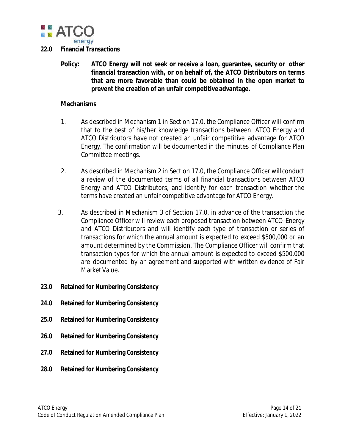

## **22.0 Financial Transactions**

**Policy: ATCO Energy will not seek or receive a loan, guarantee, security or other financial transaction with, or on behalf of, the ATCO Distributors on terms that are more favorable than could be obtained in the open market to prevent the creation of an unfair competitive advantage.**

- 1. As described in Mechanism 1 in Section 17.0, the Compliance Officer will confirm that to the best of his/her knowledge transactions between ATCO Energy and ATCO Distributors have not created an unfair competitive advantage for ATCO Energy. The confirmation will be documented in the minutes of Compliance Plan Committee meetings.
- 2. As described in Mechanism 2 in Section 17.0, the Compliance Officer will conduct a review of the documented terms of all financial transactions between ATCO Energy and ATCO Distributors, and identify for each transaction whether the terms have created an unfair competitive advantage for ATCO Energy.
- 3. As described in Mechanism 3 of Section 17.0, in advance of the transaction the Compliance Officer will review each proposed transaction between ATCO Energy and ATCO Distributors and will identify each type of transaction or series of transactions for which the annual amount is expected to exceed \$500,000 or an amount determined by the Commission. The Compliance Officer will confirm that transaction types for which the annual amount is expected to exceed \$500,000 are documented by an agreement and supported with written evidence of Fair Market Value.
- **23.0 Retained for Numbering Consistency**
- **24.0 Retained for Numbering Consistency**
- **25.0 Retained for Numbering Consistency**
- **26.0 Retained for Numbering Consistency**
- **27.0 Retained for Numbering Consistency**
- **28.0 Retained for Numbering Consistency**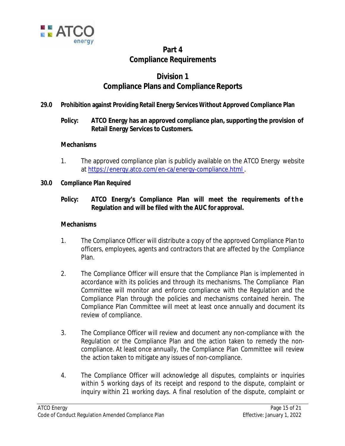

# **Part 4 Compliance Requirements**

# **Division 1 Compliance Plans and Compliance Reports**

## **29.0 Prohibition against Providing Retail Energy Services Without Approved Compliance Plan**

# **Policy: ATCO Energy has an approved compliance plan, supporting the provision of Retail Energy Services to Customers.**

## **Mechanisms**

- 1. The approved compliance plan is publicly available on the ATCO Energy website at https://energy.atco.com/en-ca/energy-compliance.html .
- **30.0 Compliance Plan Required**

## **Policy: ATCO Energy's Compliance Plan will meet the requirements of the Regulation and will be filed with the AUC for approval.**

- 1. The Compliance Officer will distribute a copy of the approved Compliance Plan to officers, employees, agents and contractors that are affected by the Compliance Plan.
- 2. The Compliance Officer will ensure that the Compliance Plan is implemented in accordance with its policies and through its mechanisms. The Compliance Plan Committee will monitor and enforce compliance with the Regulation and the Compliance Plan through the policies and mechanisms contained herein. The Compliance Plan Committee will meet at least once annually and document its review of compliance.
- 3. The Compliance Officer will review and document any non-compliance with the Regulation or the Compliance Plan and the action taken to remedy the noncompliance. At least once annually, the Compliance Plan Committee will review the action taken to mitigate any issues of non-compliance.
- 4. The Compliance Officer will acknowledge all disputes, complaints or inquiries within 5 working days of its receipt and respond to the dispute, complaint or inquiry within 21 working days. A final resolution of the dispute, complaint or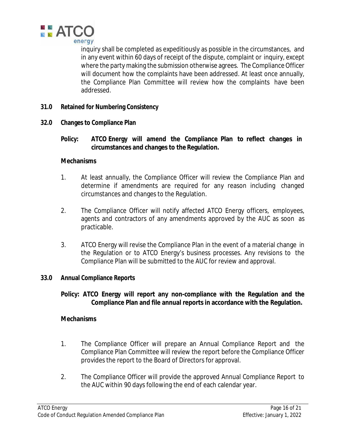

inquiry shall be completed as expeditiously as possible in the circumstances, and in any event within 60 days of receipt of the dispute, complaint or inquiry, except where the party making the submission otherwise agrees. The Compliance Officer will document how the complaints have been addressed. At least once annually, the Compliance Plan Committee will review how the complaints have been addressed.

- **31.0 Retained for Numbering Consistency**
- **32.0 Changes to Compliance Plan**
	- **Policy: ATCO Energy will amend the Compliance Plan to reflect changes in circumstances and changes to the Regulation.**

#### **Mechanisms**

- 1. At least annually, the Compliance Officer will review the Compliance Plan and determine if amendments are required for any reason including changed circumstances and changes to the Regulation.
- 2. The Compliance Officer will notify affected ATCO Energy officers, employees, agents and contractors of any amendments approved by the AUC as soon as practicable.
- 3. ATCO Energy will revise the Compliance Plan in the event of a material change in the Regulation or to ATCO Energy's business processes. Any revisions to the Compliance Plan will be submitted to the AUC for review and approval.

### **33.0 Annual Compliance Reports**

**Policy: ATCO Energy will report any non-compliance with the Regulation and the Compliance Plan and file annual reports in accordance with the Regulation.**

- 1. The Compliance Officer will prepare an Annual Compliance Report and the Compliance Plan Committee will review the report before the Compliance Officer provides the report to the Board of Directors for approval.
- 2. The Compliance Officer will provide the approved Annual Compliance Report to the AUC within 90 days following the end of each calendar year.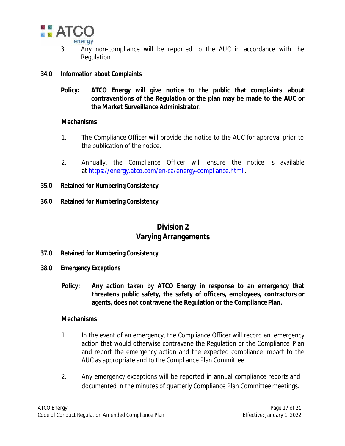

- 3. Any non-compliance will be reported to the AUC in accordance with the Regulation.
- **34.0 Information about Complaints**
	- **Policy: ATCO Energy will give notice to the public that complaints about contraventions of the Regulation or the plan may be made to the AUC or the Market Surveillance Administrator.**

### **Mechanisms**

- 1. The Compliance Officer will provide the notice to the AUC for approval prior to the publication of the notice.
- 2. Annually, the Compliance Officer will ensure the notice is available at https://energy.atco.com/en-ca/energy-compliance.html .
- **35.0 Retained for Numbering Consistency**
- **36.0 Retained for Numbering Consistency**

# **Division 2 Varying Arrangements**

- **37.0 Retained for Numbering Consistency**
- **38.0 Emergency Exceptions**
	- **Policy: Any action taken by ATCO Energy in response to an emergency that threatens public safety, the safety of officers, employees, contractors or agents, does not contravene the Regulation or the Compliance Plan.**

- 1. In the event of an emergency, the Compliance Officer will record an emergency action that would otherwise contravene the Regulation or the Compliance Plan and report the emergency action and the expected compliance impact to the AUC as appropriate and to the Compliance Plan Committee.
- 2. Any emergency exceptions will be reported in annual compliance reports and documented in the minutes of quarterly Compliance Plan Committeemeetings.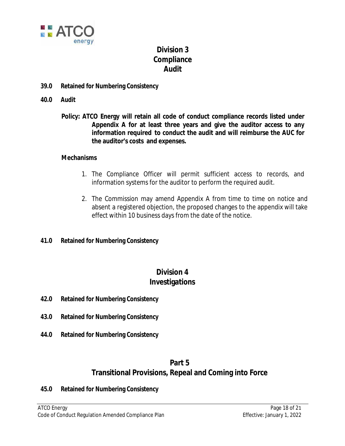

# **Division 3 Compliance Audit**

- **39.0 Retained for Numbering Consistency**
- **40.0 Audit**
	- **Policy: ATCO Energy will retain all code of conduct compliance records listed under Appendix A for at least three years and give the auditor access to any information required to conduct the audit and will reimburse the AUC for the auditor's costs and expenses.**

### **Mechanisms**

- 1. The Compliance Officer will permit sufficient access to records, and information systems for the auditor to perform the required audit.
- 2. The Commission may amend Appendix A from time to time on notice and absent a registered objection, the proposed changes to the appendix will take effect within 10 business days from the date of the notice.
- **41.0 Retained for Numbering Consistency**

# **Division 4 Investigations**

- **42.0 Retained for Numbering Consistency**
- **43.0 Retained for Numbering Consistency**
- **44.0 Retained for Numbering Consistency**

# **Part 5 Transitional Provisions, Repeal and Coming into Force**

**45.0 Retained for Numbering Consistency**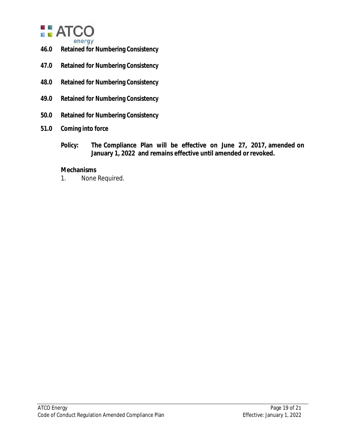

- **46.0 Retained for Numbering Consistency**
- **47.0 Retained for Numbering Consistency**
- **48.0 Retained for Numbering Consistency**
- **49.0 Retained for Numbering Consistency**
- **50.0 Retained for Numbering Consistency**
- **51.0 Coming into force**
	- **Policy: The Compliance Plan will be effective on June 27, 2017, amended on January 1, 2022 and remains effective until amended orrevoked.**

#### **Mechanisms**

1. None Required.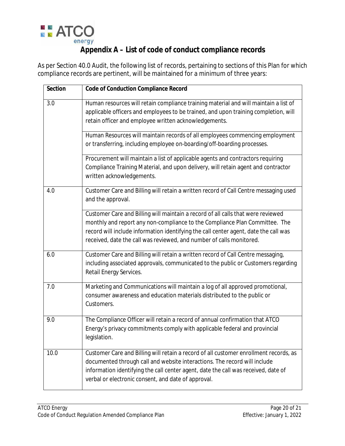

# **Appendix A – List of code of conduct compliance records**

As per Section 40.0 Audit, the following list of records, pertaining to sections of this Plan for which compliance records are pertinent, will be maintained for a minimum of three years:

| Section | <b>Code of Conduction Compliance Record</b>                                                                                                                                                                                                                                                                                     |
|---------|---------------------------------------------------------------------------------------------------------------------------------------------------------------------------------------------------------------------------------------------------------------------------------------------------------------------------------|
| 3.0     | Human resources will retain compliance training material and will maintain a list of<br>applicable officers and employees to be trained, and upon training completion, will<br>retain officer and employee written acknowledgements.                                                                                            |
|         | Human Resources will maintain records of all employees commencing employment<br>or transferring, including employee on-boarding/off-boarding processes.                                                                                                                                                                         |
|         | Procurement will maintain a list of applicable agents and contractors requiring<br>Compliance Training Material, and upon delivery, will retain agent and contractor<br>written acknowledgements.                                                                                                                               |
| 4.0     | Customer Care and Billing will retain a written record of Call Centre messaging used<br>and the approval.                                                                                                                                                                                                                       |
|         | Customer Care and Billing will maintain a record of all calls that were reviewed<br>monthly and report any non-compliance to the Compliance Plan Committee. The<br>record will include information identifying the call center agent, date the call was<br>received, date the call was reviewed, and number of calls monitored. |
| 6.0     | Customer Care and Billing will retain a written record of Call Centre messaging,<br>including associated approvals, communicated to the public or Customers regarding<br>Retail Energy Services.                                                                                                                                |
| 7.0     | Marketing and Communications will maintain a log of all approved promotional,<br>consumer awareness and education materials distributed to the public or<br>Customers.                                                                                                                                                          |
| 9.0     | The Compliance Officer will retain a record of annual confirmation that ATCO<br>Energy's privacy commitments comply with applicable federal and provincial<br>legislation.                                                                                                                                                      |
| 10.0    | Customer Care and Billing will retain a record of all customer enrollment records, as<br>documented through call and website interactions. The record will include<br>information identifying the call center agent, date the call was received, date of<br>verbal or electronic consent, and date of approval.                 |